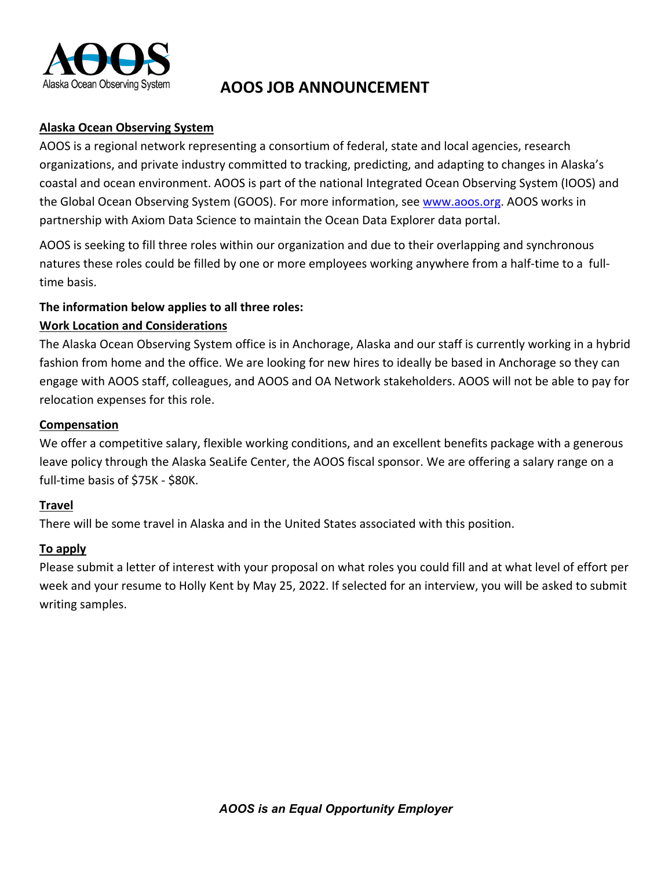

# **AOOS JOB ANNOUNCEMENT**

# **Alaska Ocean Observing System**

AOOS is a regional network representing a consortium of federal, state and local agencies, research organizations, and private industry committed to tracking, predicting, and adapting to changes in Alaska's coastal and ocean environment. AOOS is part of the national Integrated Ocean Observing System (IOOS) and th[e](http://www.aoos.org/) Global Ocean Observing System (GOOS). For more information, see [www.aoos.org.](http://www.aoos.org/) AOOS works in partnership with Axiom Data Science to maintain the Ocean Data Explorer data portal.

AOOS is seeking to fill three roles within our organization and due to their overlapping and synchronous natures these roles could be filled by one or more employees working anywhere from a half-time to a fulltime basis.

# **The information below applies to all three roles:**

# **Work Location and Considerations**

The Alaska Ocean Observing System office is in Anchorage, Alaska and our staff is currently working in a hybrid fashion from home and the office. We are looking for new hires to ideally be based in Anchorage so they can engage with AOOS staff, colleagues, and AOOS and OA Network stakeholders. AOOS will not be able to pay for relocation expenses for this role.

# **Compensation**

We offer a competitive salary, flexible working conditions, and an excellent benefits package with a generous leave policy through the Alaska SeaLife Center, the AOOS fiscal sponsor. We are offering a salary range on a full-time basis of \$75K - \$80K.

# **Travel**

There will be some travel in Alaska and in the United States associated with this position.

# **To apply**

Please submit a letter of interest with your proposal on what roles you could fill and at what level of effort per week and your resume to Holly Kent by May 25, 2022. If selected for an interview, you will be asked to submit writing samples.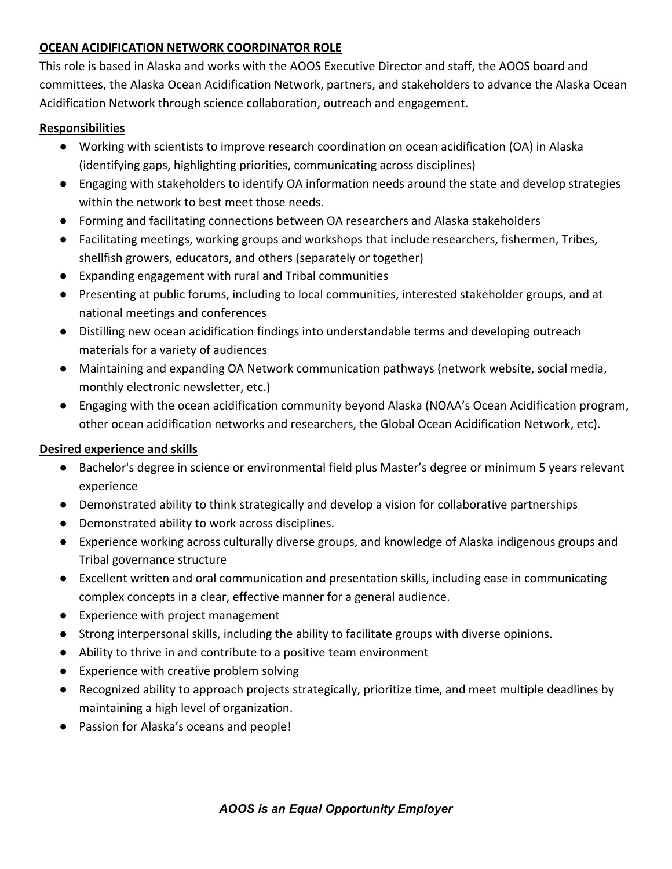# **OCEAN ACIDIFICATION NETWORK COORDINATOR ROLE**

This role is based in Alaska and works with the AOOS Executive Director and staff, the AOOS board and committees, the Alaska Ocean Acidification Network, partners, and stakeholders to advance the Alaska Ocean Acidification Network through science collaboration, outreach and engagement.

#### **Responsibilities**

- Working with scientists to improve research coordination on ocean acidification (OA) in Alaska (identifying gaps, highlighting priorities, communicating across disciplines)
- Engaging with stakeholders to identify OA information needs around the state and develop strategies within the network to best meet those needs.
- Forming and facilitating connections between OA researchers and Alaska stakeholders
- Facilitating meetings, working groups and workshops that include researchers, fishermen, Tribes, shellfish growers, educators, and others (separately or together)
- Expanding engagement with rural and Tribal communities
- Presenting at public forums, including to local communities, interested stakeholder groups, and at national meetings and conferences
- Distilling new ocean acidification findings into understandable terms and developing outreach materials for a variety of audiences
- Maintaining and expanding OA Network communication pathways (network website, social media, monthly electronic newsletter, etc.)
- Engaging with the ocean acidification community beyond Alaska (NOAA's Ocean Acidification program, other ocean acidification networks and researchers, the Global Ocean Acidification Network, etc).

# **Desired experience and skills**

- Bachelor's degree in science or environmental field plus Master's degree or minimum 5 years relevant experience
- Demonstrated ability to think strategically and develop a vision for collaborative partnerships
- Demonstrated ability to work across disciplines.
- Experience working across culturally diverse groups, and knowledge of Alaska indigenous groups and Tribal governance structure
- Excellent written and oral communication and presentation skills, including ease in communicating complex concepts in a clear, effective manner for a general audience.
- Experience with project management
- Strong interpersonal skills, including the ability to facilitate groups with diverse opinions.
- Ability to thrive in and contribute to a positive team environment
- Experience with creative problem solving
- Recognized ability to approach projects strategically, prioritize time, and meet multiple deadlines by maintaining a high level of organization.
- Passion for Alaska's oceans and people!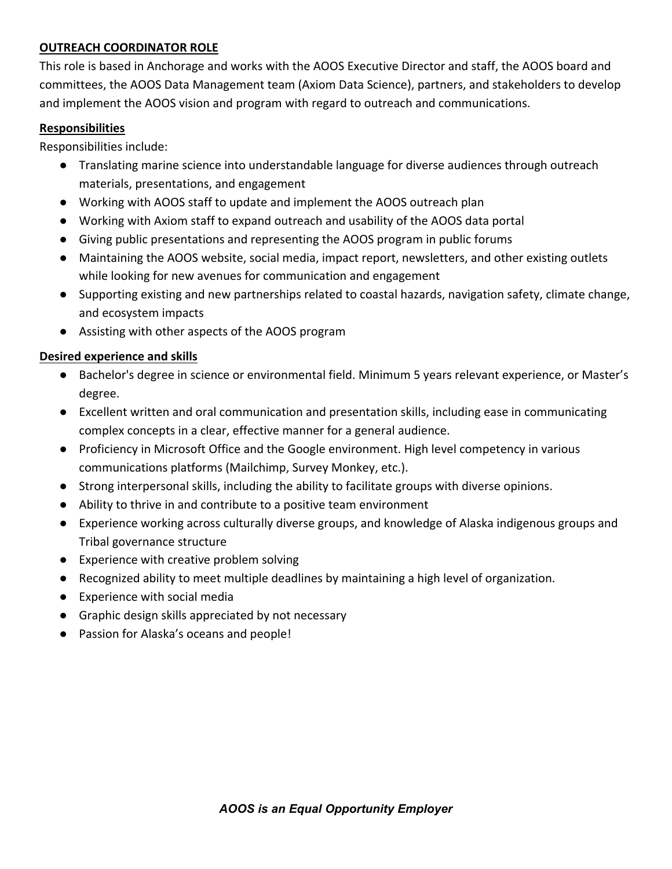# **OUTREACH COORDINATOR ROLE**

This role is based in Anchorage and works with the AOOS Executive Director and staff, the AOOS board and committees, the AOOS Data Management team (Axiom Data Science), partners, and stakeholders to develop and implement the AOOS vision and program with regard to outreach and communications.

#### **Responsibilities**

Responsibilities include:

- Translating marine science into understandable language for diverse audiences through outreach materials, presentations, and engagement
- Working with AOOS staff to update and implement the AOOS outreach plan
- Working with Axiom staff to expand outreach and usability of the AOOS data portal
- Giving public presentations and representing the AOOS program in public forums
- Maintaining the AOOS website, social media, impact report, newsletters, and other existing outlets while looking for new avenues for communication and engagement
- Supporting existing and new partnerships related to coastal hazards, navigation safety, climate change, and ecosystem impacts
- Assisting with other aspects of the AOOS program

#### **Desired experience and skills**

- Bachelor's degree in science or environmental field. Minimum 5 years relevant experience, or Master's degree.
- Excellent written and oral communication and presentation skills, including ease in communicating complex concepts in a clear, effective manner for a general audience.
- Proficiency in Microsoft Office and the Google environment. High level competency in various communications platforms (Mailchimp, Survey Monkey, etc.).
- Strong interpersonal skills, including the ability to facilitate groups with diverse opinions.
- Ability to thrive in and contribute to a positive team environment
- Experience working across culturally diverse groups, and knowledge of Alaska indigenous groups and Tribal governance structure
- Experience with creative problem solving
- Recognized ability to meet multiple deadlines by maintaining a high level of organization.
- Experience with social media
- Graphic design skills appreciated by not necessary
- Passion for Alaska's oceans and people!